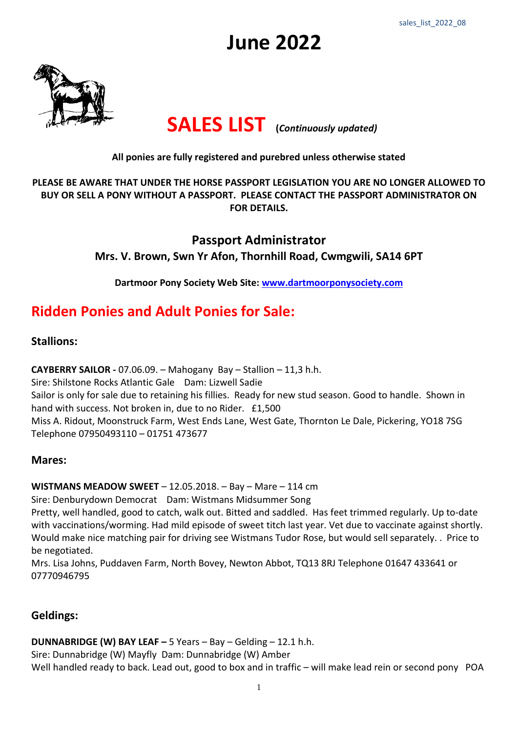# **June 2022**



## **SALES LIST (***Continuously updated)*

#### **All ponies are fully registered and purebred unless otherwise stated**

#### **PLEASE BE AWARE THAT UNDER THE HORSE PASSPORT LEGISLATION YOU ARE NO LONGER ALLOWED TO BUY OR SELL A PONY WITHOUT A PASSPORT. PLEASE CONTACT THE PASSPORT ADMINISTRATOR ON FOR DETAILS.**

### **Passport Administrator Mrs. V. Brown, Swn Yr Afon, Thornhill Road, Cwmgwili, SA14 6PT**

**Dartmoor Pony Society Web Site: [www.dartmoorponysociety.com](http://www.dartmoorponysociety.com/)**

## **Ridden Ponies and Adult Ponies for Sale:**

#### **Stallions:**

**CAYBERRY SAILOR -** 07.06.09. – Mahogany Bay – Stallion – 11,3 h.h.

Sire: Shilstone Rocks Atlantic Gale Dam: Lizwell Sadie Sailor is only for sale due to retaining his fillies. Ready for new stud season. Good to handle. Shown in hand with success. Not broken in, due to no Rider. £1,500 Miss A. Ridout, Moonstruck Farm, West Ends Lane, West Gate, Thornton Le Dale, Pickering, YO18 7SG Telephone 07950493110 – 01751 473677

#### **Mares:**

**WISTMANS MEADOW SWEET** – 12.05.2018. – Bay – Mare – 114 cm

Sire: Denburydown Democrat Dam: Wistmans Midsummer Song

Pretty, well handled, good to catch, walk out. Bitted and saddled. Has feet trimmed regularly. Up to-date with vaccinations/worming. Had mild episode of sweet titch last year. Vet due to vaccinate against shortly. Would make nice matching pair for driving see Wistmans Tudor Rose, but would sell separately. . Price to be negotiated.

Mrs. Lisa Johns, Puddaven Farm, North Bovey, Newton Abbot, TQ13 8RJ Telephone 01647 433641 or 07770946795

#### **Geldings:**

**DUNNABRIDGE (W) BAY LEAF –** 5 Years – Bay – Gelding – 12.1 h.h.

Sire: Dunnabridge (W) Mayfly Dam: Dunnabridge (W) Amber

Well handled ready to back. Lead out, good to box and in traffic – will make lead rein or second pony POA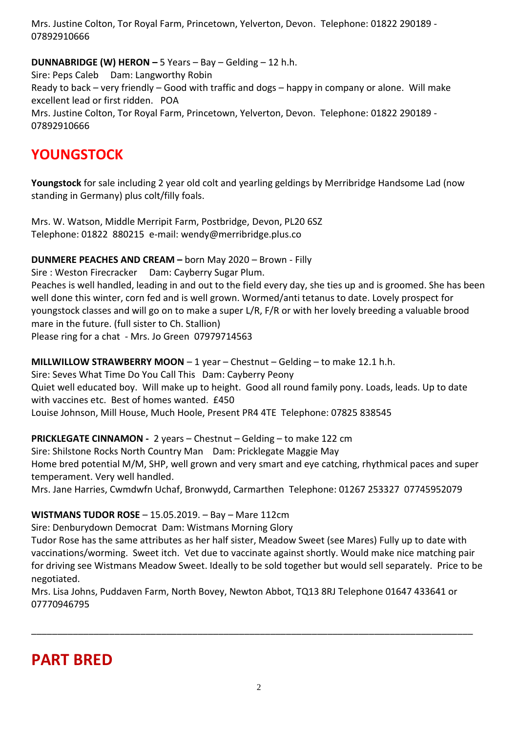Mrs. Justine Colton, Tor Royal Farm, Princetown, Yelverton, Devon. Telephone: 01822 290189 - 07892910666

**DUNNABRIDGE (W) HERON –** 5 Years – Bay – Gelding – 12 h.h.

Sire: Peps Caleb Dam: Langworthy Robin Ready to back – very friendly – Good with traffic and dogs – happy in company or alone. Will make excellent lead or first ridden. POA Mrs. Justine Colton, Tor Royal Farm, Princetown, Yelverton, Devon. Telephone: 01822 290189 - 07892910666

## **YOUNGSTOCK**

**Youngstock** for sale including 2 year old colt and yearling geldings by Merribridge Handsome Lad (now standing in Germany) plus colt/filly foals.

Mrs. W. Watson, Middle Merripit Farm, Postbridge, Devon, PL20 6SZ Telephone: 01822 880215 e-mail: wendy@merribridge.plus.co

**DUNMERE PEACHES AND CREAM –** born May 2020 – Brown - Filly

Sire : Weston Firecracker Dam: Cayberry Sugar Plum.

Peaches is well handled, leading in and out to the field every day, she ties up and is groomed. She has been well done this winter, corn fed and is well grown. Wormed/anti tetanus to date. Lovely prospect for youngstock classes and will go on to make a super L/R, F/R or with her lovely breeding a valuable brood mare in the future. (full sister to Ch. Stallion) Please ring for a chat - Mrs. Jo Green 07979714563

**MILLWILLOW STRAWBERRY MOON** – 1 year – Chestnut – Gelding – to make 12.1 h.h.

Sire: Seves What Time Do You Call This Dam: Cayberry Peony Quiet well educated boy. Will make up to height. Good all round family pony. Loads, leads. Up to date with vaccines etc. Best of homes wanted. £450 Louise Johnson, Mill House, Much Hoole, Present PR4 4TE Telephone: 07825 838545

**PRICKLEGATE CINNAMON -** 2 years – Chestnut – Gelding – to make 122 cm

Sire: Shilstone Rocks North Country Man Dam: Pricklegate Maggie May Home bred potential M/M, SHP, well grown and very smart and eye catching, rhythmical paces and super temperament. Very well handled.

Mrs. Jane Harries, Cwmdwfn Uchaf, Bronwydd, Carmarthen Telephone: 01267 253327 07745952079

#### **WISTMANS TUDOR ROSE** – 15.05.2019. – Bay – Mare 112cm

Sire: Denburydown Democrat Dam: Wistmans Morning Glory

Tudor Rose has the same attributes as her half sister, Meadow Sweet (see Mares) Fully up to date with vaccinations/worming. Sweet itch. Vet due to vaccinate against shortly. Would make nice matching pair for driving see Wistmans Meadow Sweet. Ideally to be sold together but would sell separately. Price to be negotiated.

Mrs. Lisa Johns, Puddaven Farm, North Bovey, Newton Abbot, TQ13 8RJ Telephone 01647 433641 or 07770946795

\_\_\_\_\_\_\_\_\_\_\_\_\_\_\_\_\_\_\_\_\_\_\_\_\_\_\_\_\_\_\_\_\_\_\_\_\_\_\_\_\_\_\_\_\_\_\_\_\_\_\_\_\_\_\_\_\_\_\_\_\_\_\_\_\_\_\_\_\_\_\_\_\_\_\_\_\_\_\_\_\_\_\_\_\_

## **PART BRED**